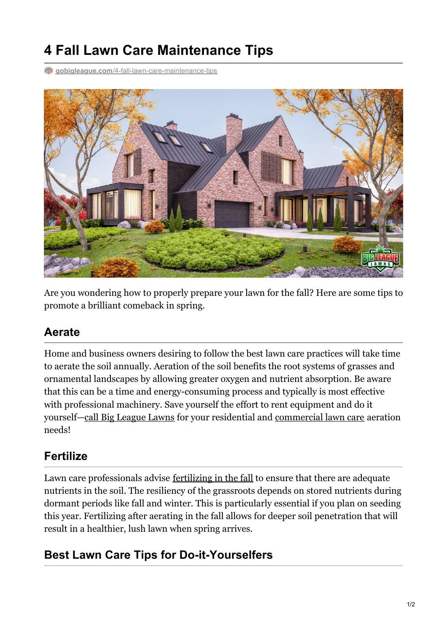# **4 Fall Lawn Care Maintenance Tips**

**gobigleague.com**[/4-fall-lawn-care-maintenance-tips](https://gobigleague.com/4-fall-lawn-care-maintenance-tips/)



Are you wondering how to properly prepare your lawn for the fall? Here are some tips to promote a brilliant comeback in spring.

## **Aerate**

Home and business owners desiring to follow the best lawn care practices will take time to aerate the soil annually. Aeration of the soil benefits the root systems of grasses and ornamental landscapes by allowing greater oxygen and nutrient absorption. Be aware that this can be a time and energy-consuming process and typically is most effective with professional machinery. Save yourself the effort to rent equipment and do it yourself—call Big [League](tel:+18017739999) Lawns for your residential and [commercial](https://gobigleague.com/commercial-lawn-care/) lawn care aeration needs!

## **Fertilize**

Lawn care professionals advise <u>[fertilizing](https://gobigleague.com/when-to-fertilize-lawn-in-utah/) in the fall</u> to ensure that there are adequate nutrients in the soil. The resiliency of the grassroots depends on stored nutrients during dormant periods like fall and winter. This is particularly essential if you plan on seeding this year. Fertilizing after aerating in the fall allows for deeper soil penetration that will result in a healthier, lush lawn when spring arrives.

## **Best Lawn Care Tips for Do-it-Yourselfers**